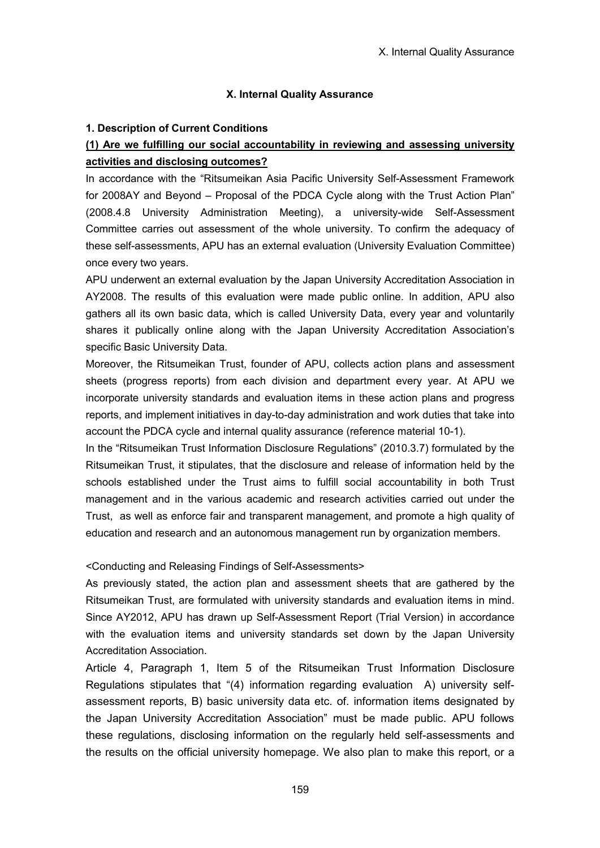#### **X. Internal Quality Assurance**

#### **1. Description of Current Conditions**

# **(1) Are we fulfilling our social accountability in reviewing and assessing university activities and disclosing outcomes?**

In accordance with the "Ritsumeikan Asia Pacific University Self-Assessment Framework for 2008AY and Beyond – Proposal of the PDCA Cycle along with the Trust Action Plan" (2008.4.8 University Administration Meeting), a university-wide Self-Assessment Committee carries out assessment of the whole university. To confirm the adequacy of these self-assessments, APU has an external evaluation (University Evaluation Committee) once every two years.

APU underwent an external evaluation by the Japan University Accreditation Association in AY2008. The results of this evaluation were made public online. In addition, APU also gathers all its own basic data, which is called University Data, every year and voluntarily shares it publically online along with the Japan University Accreditation Association's specific Basic University Data.

Moreover, the Ritsumeikan Trust, founder of APU, collects action plans and assessment sheets (progress reports) from each division and department every year. At APU we incorporate university standards and evaluation items in these action plans and progress reports, and implement initiatives in day-to-day administration and work duties that take into account the PDCA cycle and internal quality assurance (reference material 10-1).

In the "Ritsumeikan Trust Information Disclosure Regulations" (2010.3.7) formulated by the Ritsumeikan Trust, it stipulates, that the disclosure and release of information held by the schools established under the Trust aims to fulfill social accountability in both Trust management and in the various academic and research activities carried out under the Trust, as well as enforce fair and transparent management, and promote a high quality of education and research and an autonomous management run by organization members.

#### <Conducting and Releasing Findings of Self-Assessments>

As previously stated, the action plan and assessment sheets that are gathered by the Ritsumeikan Trust, are formulated with university standards and evaluation items in mind. Since AY2012, APU has drawn up Self-Assessment Report (Trial Version) in accordance with the evaluation items and university standards set down by the Japan University Accreditation Association.

Article 4, Paragraph 1, Item 5 of the Ritsumeikan Trust Information Disclosure Regulations stipulates that "(4) information regarding evaluation A) university selfassessment reports, B) basic university data etc. of. information items designated by the Japan University Accreditation Association" must be made public. APU follows these regulations, disclosing information on the regularly held self-assessments and the results on the official university homepage. We also plan to make this report, or a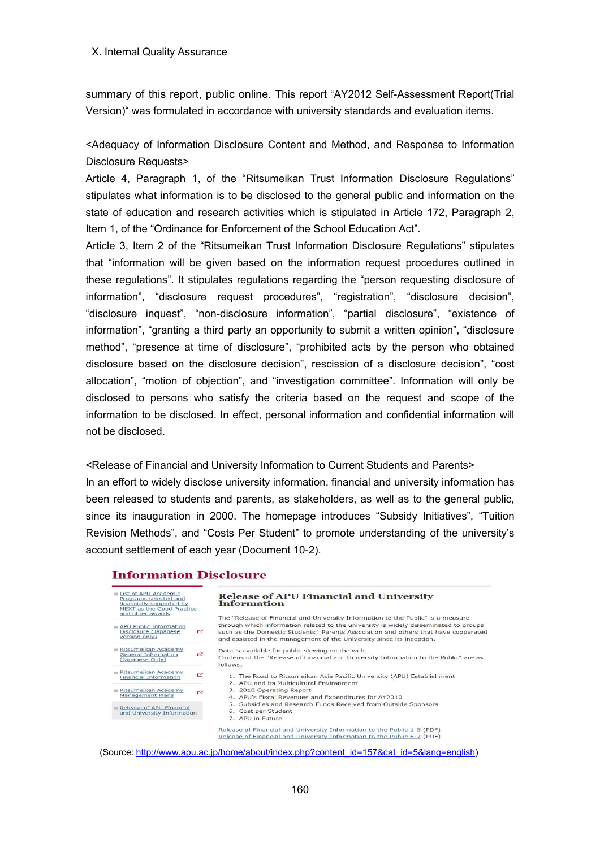summary of this report, public online. This report "AY2012 Self-Assessment Report(Trial Version)" was formulated in accordance with university standards and evaluation items.

<Adequacy of Information Disclosure Content and Method, and Response to Information Disclosure Requests>

Article 4, Paragraph 1, of the "Ritsumeikan Trust Information Disclosure Regulations" stipulates what information is to be disclosed to the general public and information on the state of education and research activities which is stipulated in Article 172, Paragraph 2, Item 1, of the "Ordinance for Enforcement of the School Education Act".

Article 3, Item 2 of the "Ritsumeikan Trust Information Disclosure Regulations" stipulates that "information will be given based on the information request procedures outlined in these regulations". It stipulates regulations regarding the "person requesting disclosure of information", "disclosure request procedures", "registration", "disclosure decision", "disclosure inquest", "non-disclosure information", "partial disclosure", "existence of information", "granting a third party an opportunity to submit a written opinion", "disclosure method", "presence at time of disclosure", "prohibited acts by the person who obtained disclosure based on the disclosure decision", rescission of a disclosure decision", "cost allocation", "motion of objection", and "investigation committee". Information will only be disclosed to persons who satisfy the criteria based on the request and scope of the information to be disclosed. In effect, personal information and confidential information will not be disclosed.

<Release of Financial and University Information to Current Students and Parents> In an effort to widely disclose university information, financial and university information has been released to students and parents, as stakeholders, as well as to the general public, since its inauguration in 2000. The homepage introduces "Subsidy Initiatives", "Tuition Revision Methods", and "Costs Per Student" to promote understanding of the university's account settlement of each year (Document 10-2).

## **Information Disclosure**



**Release of APU Financial and University Information** 

The "Release of Financial and University Information to the Public" is a measure through which information related to the university is widely disseminated to groups APU Public Information<br>Disclosure (Japanese Land Version only) such as the Domestic Students' Parents Association and others that have cooperated and assisted in the management of the University since its inception.

> Contens of the "Release of Financial and University Information to the Public" are as follows;

- Ritsumeikan Academy<br>Financial Information
- Ritsumelkan Academy<br>Management Plans

(Japanese Only)

Management Plans

<u>Acaderi</u><br>mation

```
Release of APU Financial<br>and University Information
```
- 1. The Road to Ritsumeikan Asia Pacific University (APU) Establishment
- 2. APU and its Multicultural Environment<br>3. 2010 Operating Report
- 
- 4. APU's Fiscal Revenues and Expenditures for AY2010<br>5. Subsidies and Research Funds Received from Outside Sponsors
- 6. Cost per Student
- 7. APU in Future

Release of Financial and University Information to the Public 1-5 (PDF) Release of Financial and University Information to the Public 6-7 (PDF)

(Source: http://www.apu.ac.jp/home/about/index.php?content\_id=157&cat\_id=5&lang=english)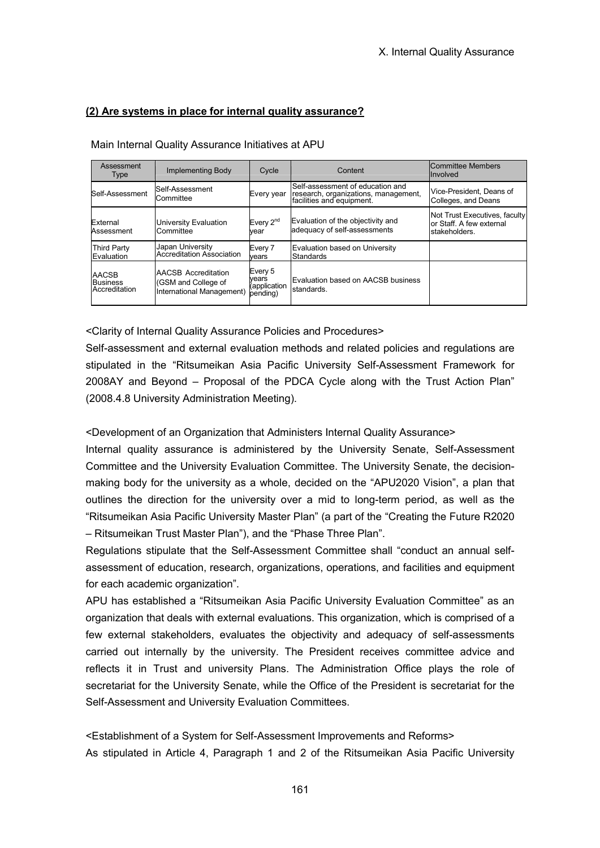## **(2) Are systems in place for internal quality assurance?**

#### Main Internal Quality Assurance Initiatives at APU

| Assessment<br><b>Type</b>                 | Implementing Body                                                              | Cycle                                        | Content                                                                                               | Committee Members<br>Involved                                              |
|-------------------------------------------|--------------------------------------------------------------------------------|----------------------------------------------|-------------------------------------------------------------------------------------------------------|----------------------------------------------------------------------------|
| Self-Assessment                           | Self-Assessment<br>Committee                                                   | Every year                                   | Self-assessment of education and<br>research, organizations, management,<br>facilities and equipment. | Vice-President. Deans of<br>Colleges, and Deans                            |
| External<br>Assessment                    | University Evaluation<br>Committee                                             | Every 2 <sup>nd</sup><br>vear                | Evaluation of the objectivity and<br>adequacy of self-assessments                                     | Not Trust Executives, faculty<br>or Staff. A few external<br>stakeholders. |
| <b>Third Party</b><br>Evaluation          | Japan University<br><b>Accreditation Association</b>                           | Every 7<br>vears                             | Evaluation based on University<br>Standards                                                           |                                                                            |
| AACSB<br><b>Business</b><br>Accreditation | <b>AACSB Accreditation</b><br>(GSM and College of<br>International Management) | Every 5<br>vears<br>(application<br>pending) | Evaluation based on AACSB business<br>standards.                                                      |                                                                            |

<Clarity of Internal Quality Assurance Policies and Procedures>

Self-assessment and external evaluation methods and related policies and regulations are stipulated in the "Ritsumeikan Asia Pacific University Self-Assessment Framework for 2008AY and Beyond – Proposal of the PDCA Cycle along with the Trust Action Plan" (2008.4.8 University Administration Meeting).

<Development of an Organization that Administers Internal Quality Assurance>

Internal quality assurance is administered by the University Senate, Self-Assessment Committee and the University Evaluation Committee. The University Senate, the decisionmaking body for the university as a whole, decided on the "APU2020 Vision", a plan that outlines the direction for the university over a mid to long-term period, as well as the "Ritsumeikan Asia Pacific University Master Plan" (a part of the "Creating the Future R2020 – Ritsumeikan Trust Master Plan"), and the "Phase Three Plan".

Regulations stipulate that the Self-Assessment Committee shall "conduct an annual selfassessment of education, research, organizations, operations, and facilities and equipment for each academic organization".

APU has established a "Ritsumeikan Asia Pacific University Evaluation Committee" as an organization that deals with external evaluations. This organization, which is comprised of a few external stakeholders, evaluates the objectivity and adequacy of self-assessments carried out internally by the university. The President receives committee advice and reflects it in Trust and university Plans. The Administration Office plays the role of secretariat for the University Senate, while the Office of the President is secretariat for the Self-Assessment and University Evaluation Committees.

<Establishment of a System for Self-Assessment Improvements and Reforms> As stipulated in Article 4, Paragraph 1 and 2 of the Ritsumeikan Asia Pacific University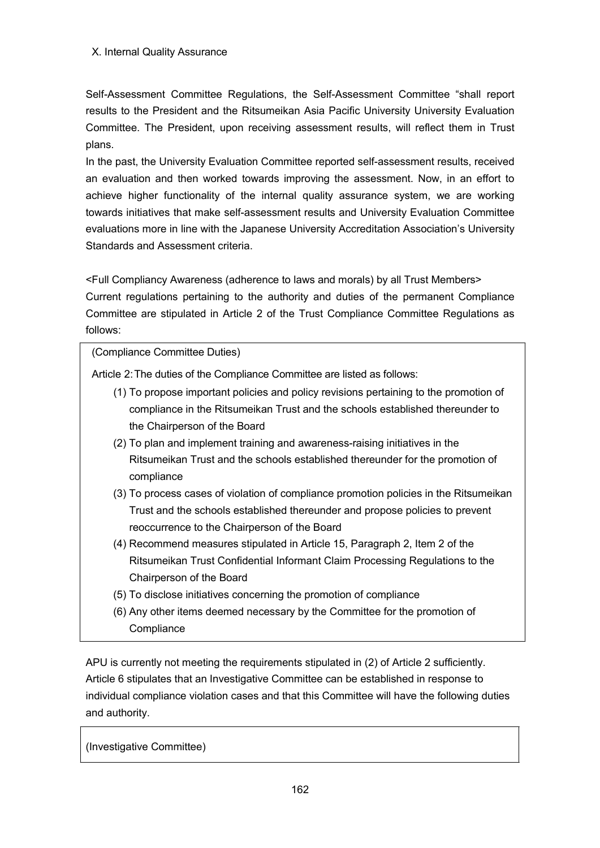Self-Assessment Committee Regulations, the Self-Assessment Committee "shall report results to the President and the Ritsumeikan Asia Pacific University University Evaluation Committee. The President, upon receiving assessment results, will reflect them in Trust plans.

In the past, the University Evaluation Committee reported self-assessment results, received an evaluation and then worked towards improving the assessment. Now, in an effort to achieve higher functionality of the internal quality assurance system, we are working towards initiatives that make self-assessment results and University Evaluation Committee evaluations more in line with the Japanese University Accreditation Association's University Standards and Assessment criteria.

<Full Compliancy Awareness (adherence to laws and morals) by all Trust Members> Current regulations pertaining to the authority and duties of the permanent Compliance Committee are stipulated in Article 2 of the Trust Compliance Committee Regulations as follows:

(Compliance Committee Duties)

Article 2:The duties of the Compliance Committee are listed as follows:

- (1) To propose important policies and policy revisions pertaining to the promotion of compliance in the Ritsumeikan Trust and the schools established thereunder to the Chairperson of the Board
- (2) To plan and implement training and awareness-raising initiatives in the Ritsumeikan Trust and the schools established thereunder for the promotion of compliance
- (3) To process cases of violation of compliance promotion policies in the Ritsumeikan Trust and the schools established thereunder and propose policies to prevent reoccurrence to the Chairperson of the Board
- (4) Recommend measures stipulated in Article 15, Paragraph 2, Item 2 of the Ritsumeikan Trust Confidential Informant Claim Processing Regulations to the Chairperson of the Board
- (5) To disclose initiatives concerning the promotion of compliance
- (6) Any other items deemed necessary by the Committee for the promotion of **Compliance**

APU is currently not meeting the requirements stipulated in (2) of Article 2 sufficiently. Article 6 stipulates that an Investigative Committee can be established in response to individual compliance violation cases and that this Committee will have the following duties and authority.

(Investigative Committee)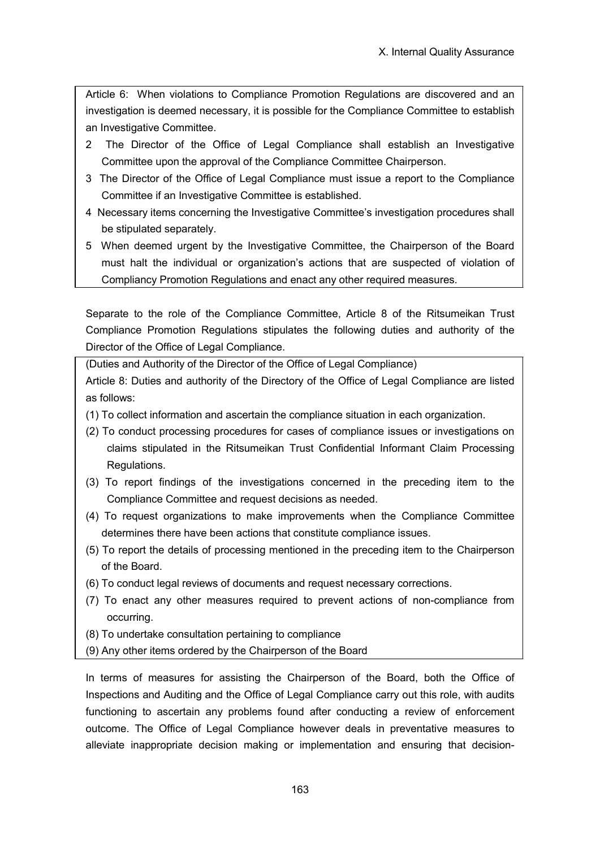Article 6: When violations to Compliance Promotion Regulations are discovered and an investigation is deemed necessary, it is possible for the Compliance Committee to establish an Investigative Committee.

- 2 The Director of the Office of Legal Compliance shall establish an Investigative Committee upon the approval of the Compliance Committee Chairperson.
- 3 The Director of the Office of Legal Compliance must issue a report to the Compliance Committee if an Investigative Committee is established.
- 4 Necessary items concerning the Investigative Committee's investigation procedures shall be stipulated separately.
- 5 When deemed urgent by the Investigative Committee, the Chairperson of the Board must halt the individual or organization's actions that are suspected of violation of Compliancy Promotion Regulations and enact any other required measures.

Separate to the role of the Compliance Committee, Article 8 of the Ritsumeikan Trust Compliance Promotion Regulations stipulates the following duties and authority of the Director of the Office of Legal Compliance.

(Duties and Authority of the Director of the Office of Legal Compliance) Article 8: Duties and authority of the Directory of the Office of Legal Compliance are listed as follows:

- (1) To collect information and ascertain the compliance situation in each organization.
- (2) To conduct processing procedures for cases of compliance issues or investigations on claims stipulated in the Ritsumeikan Trust Confidential Informant Claim Processing Regulations.
- (3) To report findings of the investigations concerned in the preceding item to the Compliance Committee and request decisions as needed.
- (4) To request organizations to make improvements when the Compliance Committee determines there have been actions that constitute compliance issues.
- (5) To report the details of processing mentioned in the preceding item to the Chairperson of the Board.
- (6) To conduct legal reviews of documents and request necessary corrections.
- (7) To enact any other measures required to prevent actions of non-compliance from occurring.
- (8) To undertake consultation pertaining to compliance
- (9) Any other items ordered by the Chairperson of the Board

In terms of measures for assisting the Chairperson of the Board, both the Office of Inspections and Auditing and the Office of Legal Compliance carry out this role, with audits functioning to ascertain any problems found after conducting a review of enforcement outcome. The Office of Legal Compliance however deals in preventative measures to alleviate inappropriate decision making or implementation and ensuring that decision-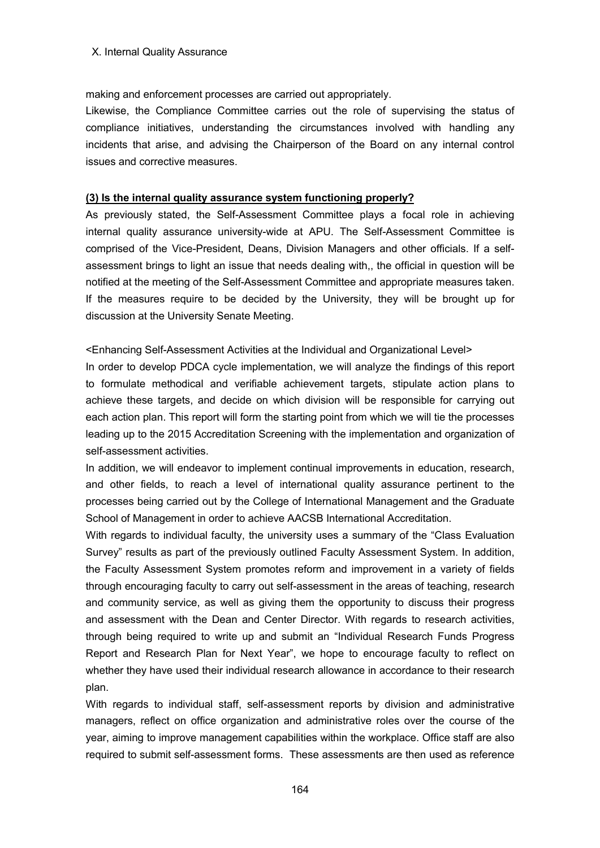#### X. Internal Quality Assurance

making and enforcement processes are carried out appropriately.

Likewise, the Compliance Committee carries out the role of supervising the status of compliance initiatives, understanding the circumstances involved with handling any incidents that arise, and advising the Chairperson of the Board on any internal control issues and corrective measures.

## **(3) Is the internal quality assurance system functioning properly?**

As previously stated, the Self-Assessment Committee plays a focal role in achieving internal quality assurance university-wide at APU. The Self-Assessment Committee is comprised of the Vice-President, Deans, Division Managers and other officials. If a selfassessment brings to light an issue that needs dealing with,, the official in question will be notified at the meeting of the Self-Assessment Committee and appropriate measures taken. If the measures require to be decided by the University, they will be brought up for discussion at the University Senate Meeting.

<Enhancing Self-Assessment Activities at the Individual and Organizational Level>

In order to develop PDCA cycle implementation, we will analyze the findings of this report to formulate methodical and verifiable achievement targets, stipulate action plans to achieve these targets, and decide on which division will be responsible for carrying out each action plan. This report will form the starting point from which we will tie the processes leading up to the 2015 Accreditation Screening with the implementation and organization of self-assessment activities.

In addition, we will endeavor to implement continual improvements in education, research, and other fields, to reach a level of international quality assurance pertinent to the processes being carried out by the College of International Management and the Graduate School of Management in order to achieve AACSB International Accreditation.

With regards to individual faculty, the university uses a summary of the "Class Evaluation Survey" results as part of the previously outlined Faculty Assessment System. In addition, the Faculty Assessment System promotes reform and improvement in a variety of fields through encouraging faculty to carry out self-assessment in the areas of teaching, research and community service, as well as giving them the opportunity to discuss their progress and assessment with the Dean and Center Director. With regards to research activities, through being required to write up and submit an "Individual Research Funds Progress Report and Research Plan for Next Year", we hope to encourage faculty to reflect on whether they have used their individual research allowance in accordance to their research plan.

With regards to individual staff, self-assessment reports by division and administrative managers, reflect on office organization and administrative roles over the course of the year, aiming to improve management capabilities within the workplace. Office staff are also required to submit self-assessment forms. These assessments are then used as reference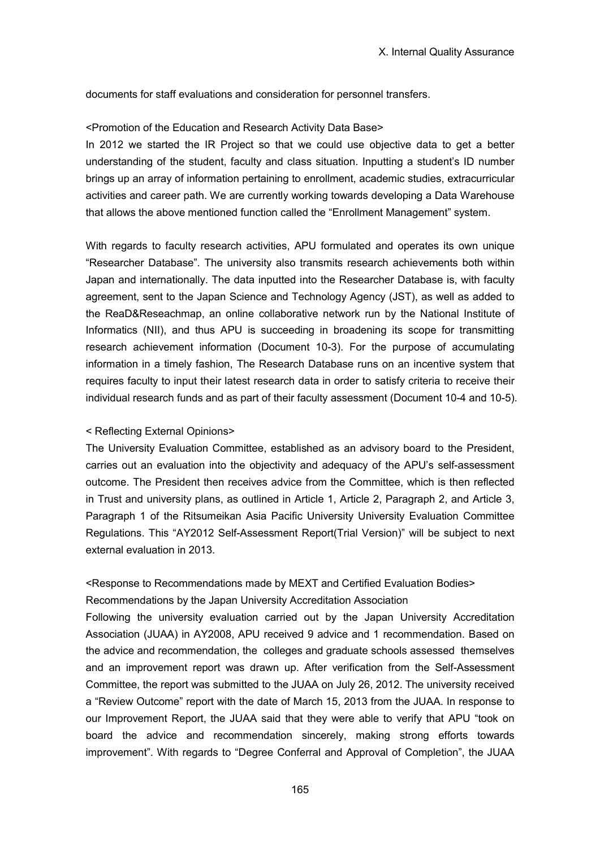documents for staff evaluations and consideration for personnel transfers.

#### <Promotion of the Education and Research Activity Data Base>

In 2012 we started the IR Project so that we could use objective data to get a better understanding of the student, faculty and class situation. Inputting a student's ID number brings up an array of information pertaining to enrollment, academic studies, extracurricular activities and career path. We are currently working towards developing a Data Warehouse that allows the above mentioned function called the "Enrollment Management" system.

With regards to faculty research activities, APU formulated and operates its own unique "Researcher Database". The university also transmits research achievements both within Japan and internationally. The data inputted into the Researcher Database is, with faculty agreement, sent to the Japan Science and Technology Agency (JST), as well as added to the ReaD&Reseachmap, an online collaborative network run by the National Institute of Informatics (NII), and thus APU is succeeding in broadening its scope for transmitting research achievement information (Document 10-3). For the purpose of accumulating information in a timely fashion, The Research Database runs on an incentive system that requires faculty to input their latest research data in order to satisfy criteria to receive their individual research funds and as part of their faculty assessment (Document 10-4 and 10-5).

## < Reflecting External Opinions>

The University Evaluation Committee, established as an advisory board to the President, carries out an evaluation into the objectivity and adequacy of the APU's self-assessment outcome. The President then receives advice from the Committee, which is then reflected in Trust and university plans, as outlined in Article 1, Article 2, Paragraph 2, and Article 3, Paragraph 1 of the Ritsumeikan Asia Pacific University University Evaluation Committee Regulations. This "AY2012 Self-Assessment Report(Trial Version)" will be subject to next external evaluation in 2013.

# <Response to Recommendations made by MEXT and Certified Evaluation Bodies> Recommendations by the Japan University Accreditation Association

Following the university evaluation carried out by the Japan University Accreditation Association (JUAA) in AY2008, APU received 9 advice and 1 recommendation. Based on the advice and recommendation, the colleges and graduate schools assessed themselves and an improvement report was drawn up. After verification from the Self-Assessment Committee, the report was submitted to the JUAA on July 26, 2012. The university received a "Review Outcome" report with the date of March 15, 2013 from the JUAA. In response to our Improvement Report, the JUAA said that they were able to verify that APU "took on board the advice and recommendation sincerely, making strong efforts towards improvement". With regards to "Degree Conferral and Approval of Completion", the JUAA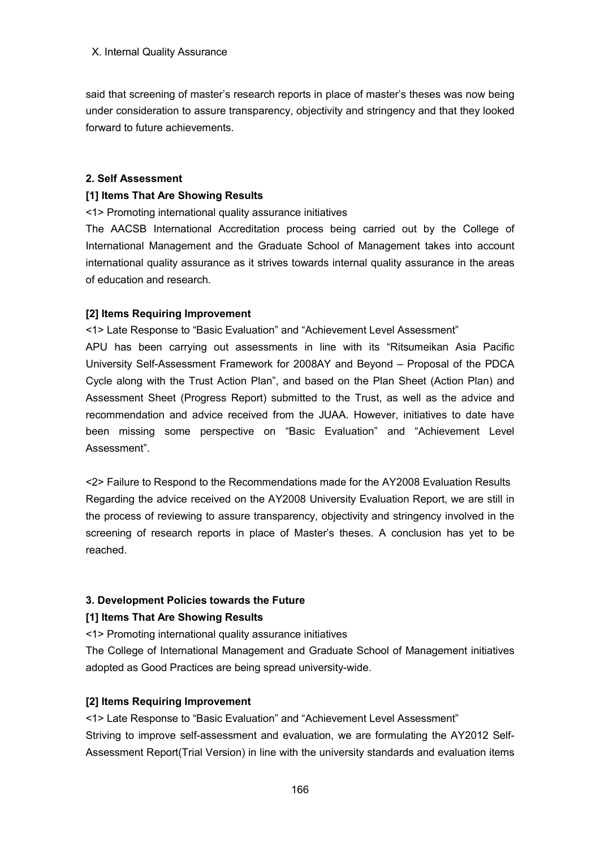said that screening of master's research reports in place of master's theses was now being under consideration to assure transparency, objectivity and stringency and that they looked forward to future achievements.

#### **2. Self Assessment**

#### **[1] Items That Are Showing Results**

<1> Promoting international quality assurance initiatives

The AACSB International Accreditation process being carried out by the College of International Management and the Graduate School of Management takes into account international quality assurance as it strives towards internal quality assurance in the areas of education and research.

#### **[2] Items Requiring Improvement**

<1> Late Response to "Basic Evaluation" and "Achievement Level Assessment"

APU has been carrying out assessments in line with its "Ritsumeikan Asia Pacific University Self-Assessment Framework for 2008AY and Beyond – Proposal of the PDCA Cycle along with the Trust Action Plan", and based on the Plan Sheet (Action Plan) and Assessment Sheet (Progress Report) submitted to the Trust, as well as the advice and recommendation and advice received from the JUAA. However, initiatives to date have been missing some perspective on "Basic Evaluation" and "Achievement Level Assessment".

<2> Failure to Respond to the Recommendations made for the AY2008 Evaluation Results Regarding the advice received on the AY2008 University Evaluation Report, we are still in the process of reviewing to assure transparency, objectivity and stringency involved in the screening of research reports in place of Master's theses. A conclusion has yet to be reached.

## **3. Development Policies towards the Future**

## **[1] Items That Are Showing Results**

<1> Promoting international quality assurance initiatives

The College of International Management and Graduate School of Management initiatives adopted as Good Practices are being spread university-wide.

## **[2] Items Requiring Improvement**

<1> Late Response to "Basic Evaluation" and "Achievement Level Assessment" Striving to improve self-assessment and evaluation, we are formulating the AY2012 Self-Assessment Report(Trial Version) in line with the university standards and evaluation items